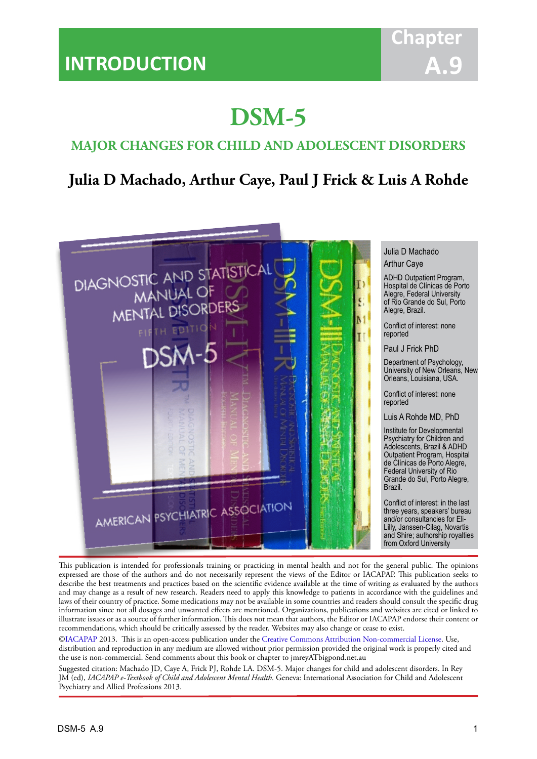# **DSM-5**

IACAPAP Textbook of Child and Adolescent Mental Health

## **MAJOR CHANGES FOR CHILD AND ADOLESCENT DISORDERS**

## **Julia D Machado, Arthur Caye, Paul J Frick & Luis A Rohde**



Julia D Machado

ADHD Outpatient Program, Hospital de Clínicas de Porto Alegre, Federal University of Rio Grande do Sul, Porto Alegre, Brazil.

Conflict of interest: none

Paul J Frick PhD

Department of Psychology, University of New Orleans, New Orleans, Louisiana, USA.

Conflict of interest: none

Luis A Rohde MD, PhD

Institute for Developmental Psychiatry for Children and Adolescents, Brazil & ADHD Outpatient Program, Hospital de Clínicas de Porto Alegre, Federal University of Rio Grande do Sul, Porto Alegre,

Conflict of interest: in the last three years, speakers' bureau and/or consultancies for Eli-Lilly, Janssen-Cilag, Novartis and Shire; authorship royalties from Oxford University

This publication is intended for professionals training or practicing in mental health and not for the general public. The opinions expressed are those of the authors and do not necessarily represent the views of the Editor or IACAPAP. This publication seeks to describe the best treatments and practices based on the scientific evidence available at the time of writing as evaluated by the authors and may change as a result of new research. Readers need to apply this knowledge to patients in accordance with the guidelines and laws of their country of practice. Some medications may not be available in some countries and readers should consult the specific drug information since not all dosages and unwanted effects are mentioned. Organizations, publications and websites are cited or linked to illustrate issues or as a source of further information. This does not mean that authors, the Editor or IACAPAP endorse their content or recommendations, which should be critically assessed by the reader. Websites may also change or cease to exist.

[©IACAPAP](http://iacapap.org/) 2013. This is an open-access publication under the [Creative Commons Attribution Non-commercial License](http://creativecommons.org/licenses/by-nc/2.0/). Use, distribution and reproduction in any medium are allowed without prior permission provided the original work is properly cited and the use is non-commercial. Send comments about this book or chapter to jmreyATbigpond.net.au

Suggested citation: Machado JD, Caye A, Frick PJ, Rohde LA. DSM-5. Major changes for child and adolescent disorders. In Rey JM (ed), *IACAPAP e-Textbook of Child and Adolescent Mental Health*. Geneva: International Association for Child and Adolescent Psychiatry and Allied Professions 2013.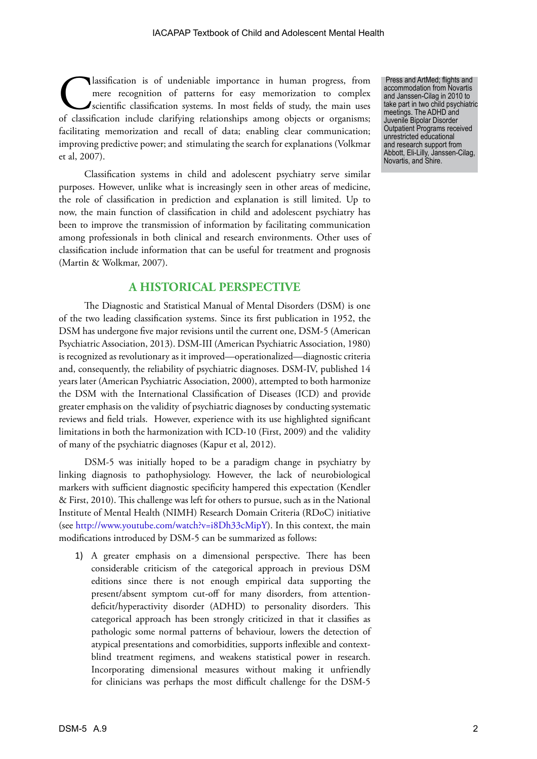Ilassification is of undeniable importance in human progress, from<br>mere recognition of patterns for easy memorization to complex<br>scientific classification systems. In most fields of study, the main uses<br>of classification i mere recognition of patterns for easy memorization to complex scientific classification systems. In most fields of study, the main uses of classification include clarifying relationships among objects or organisms; facilitating memorization and recall of data; enabling clear communication; improving predictive power; and stimulating the search for explanations (Volkmar et al, 2007).

Classification systems in child and adolescent psychiatry serve similar purposes. However, unlike what is increasingly seen in other areas of medicine, the role of classification in prediction and explanation is still limited. Up to now, the main function of classification in child and adolescent psychiatry has been to improve the transmission of information by facilitating communication among professionals in both clinical and research environments. Other uses of classification include information that can be useful for treatment and prognosis (Martin & Wolkmar, 2007).

## **A HISTORICAL PERSPECTIVE**

The Diagnostic and Statistical Manual of Mental Disorders (DSM) is one of the two leading classification systems. Since its first publication in 1952, the DSM has undergone five major revisions until the current one, DSM-5 (American Psychiatric Association, 2013). DSM-III (American Psychiatric Association, 1980) is recognized as revolutionary as it improved—operationalized—diagnostic criteria and, consequently, the reliability of psychiatric diagnoses. DSM-IV, published 14 years later (American Psychiatric Association, 2000), attempted to both harmonize the DSM with the International Classification of Diseases (ICD) and provide greater emphasis on the validity of psychiatric diagnoses by conducting systematic reviews and field trials. However, experience with its use highlighted significant limitations in both the harmonization with ICD-10 (First, 2009) and the validity of many of the psychiatric diagnoses (Kapur et al, 2012).

DSM-5 was initially hoped to be a paradigm change in psychiatry by linking diagnosis to pathophysiology. However, the lack of neurobiological markers with sufficient diagnostic specificity hampered this expectation (Kendler & First, 2010). This challenge was left for others to pursue, such as in the National Institute of Mental Health (NIMH) Research Domain Criteria (RDoC) initiative (see <http://www.youtube.com/watch?v=i8Dh33cMipY>). In this context, the main modifications introduced by DSM-5 can be summarized as follows:

1) A greater emphasis on a dimensional perspective. There has been considerable criticism of the categorical approach in previous DSM editions since there is not enough empirical data supporting the present/absent symptom cut-off for many disorders, from attentiondeficit/hyperactivity disorder (ADHD) to personality disorders. This categorical approach has been strongly criticized in that it classifies as pathologic some normal patterns of behaviour, lowers the detection of atypical presentations and comorbidities, supports inflexible and contextblind treatment regimens, and weakens statistical power in research. Incorporating dimensional measures without making it unfriendly for clinicians was perhaps the most difficult challenge for the DSM-5

 Press and ArtMed; flights and accommodation from Novartis and Janssen-Cilag in 2010 to take part in two child psychiatric meetings. The ADHD and Juvenile Bipolar Disorder Outpatient Programs received unrestricted educational and research support from Abbott, Eli-Lilly, Janssen-Cilag, Novartis, and Shire.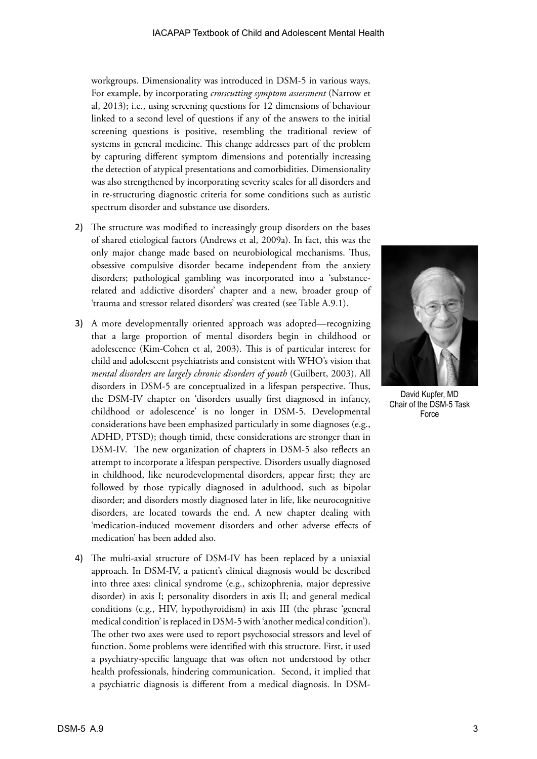workgroups. Dimensionality was introduced in DSM-5 in various ways. For example, by incorporating *crosscutting symptom assessment* (Narrow et al, 2013); i.e., using screening questions for 12 dimensions of behaviour linked to a second level of questions if any of the answers to the initial screening questions is positive, resembling the traditional review of systems in general medicine. This change addresses part of the problem by capturing different symptom dimensions and potentially increasing the detection of atypical presentations and comorbidities. Dimensionality was also strengthened by incorporating severity scales for all disorders and in re-structuring diagnostic criteria for some conditions such as autistic spectrum disorder and substance use disorders.

- 2) The structure was modified to increasingly group disorders on the bases of shared etiological factors (Andrews et al, 2009a). In fact, this was the only major change made based on neurobiological mechanisms. Thus, obsessive compulsive disorder became independent from the anxiety disorders; pathological gambling was incorporated into a 'substancerelated and addictive disorders' chapter and a new, broader group of 'trauma and stressor related disorders' was created (see Table A.9.1).
- 3) A more developmentally oriented approach was adopted—recognizing that a large proportion of mental disorders begin in childhood or adolescence (Kim-Cohen et al, 2003). This is of particular interest for child and adolescent psychiatrists and consistent with WHO's vision that *mental disorders are largely chronic disorders of youth* (Guilbert, 2003). All disorders in DSM-5 are conceptualized in a lifespan perspective. Thus, the DSM-IV chapter on 'disorders usually first diagnosed in infancy, childhood or adolescence' is no longer in DSM-5. Developmental considerations have been emphasized particularly in some diagnoses (e.g., ADHD, PTSD); though timid, these considerations are stronger than in DSM-IV. The new organization of chapters in DSM-5 also reflects an attempt to incorporate a lifespan perspective. Disorders usually diagnosed in childhood, like neurodevelopmental disorders, appear first; they are followed by those typically diagnosed in adulthood, such as bipolar disorder; and disorders mostly diagnosed later in life, like neurocognitive disorders, are located towards the end. A new chapter dealing with 'medication-induced movement disorders and other adverse effects of medication' has been added also.
- 4) The multi-axial structure of DSM-IV has been replaced by a uniaxial approach. In DSM-IV, a patient's clinical diagnosis would be described into three axes: clinical syndrome (e.g., schizophrenia, major depressive disorder) in axis I; personality disorders in axis II; and general medical conditions (e.g., HIV, hypothyroidism) in axis III (the phrase 'general medical condition' is replaced in DSM-5 with 'another medical condition'). The other two axes were used to report psychosocial stressors and level of function. Some problems were identified with this structure. First, it used a psychiatry-specific language that was often not understood by other health professionals, hindering communication. Second, it implied that a psychiatric diagnosis is different from a medical diagnosis. In DSM-



David Kupfer, MD Chair of the DSM-5 Task Force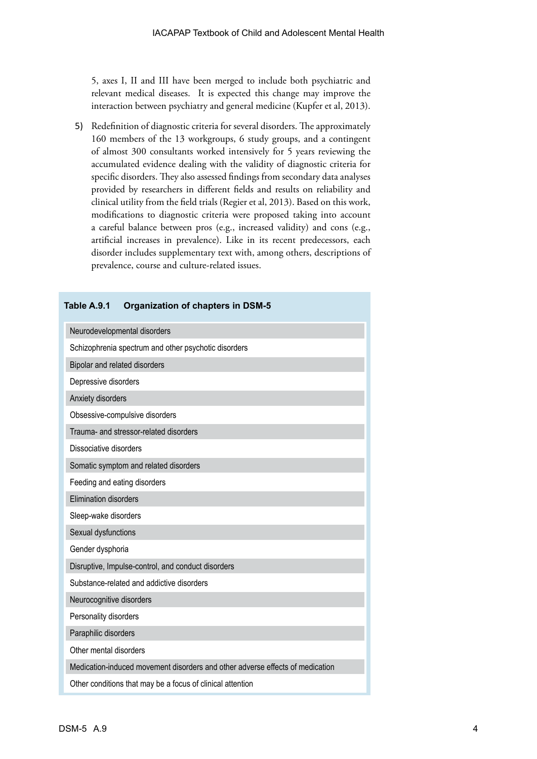5, axes I, II and III have been merged to include both psychiatric and relevant medical diseases. It is expected this change may improve the interaction between psychiatry and general medicine (Kupfer et al, 2013).

5) Redefinition of diagnostic criteria for several disorders. The approximately 160 members of the 13 workgroups, 6 study groups, and a contingent of almost 300 consultants worked intensively for 5 years reviewing the accumulated evidence dealing with the validity of diagnostic criteria for specific disorders. They also assessed findings from secondary data analyses provided by researchers in different fields and results on reliability and clinical utility from the field trials (Regier et al, 2013). Based on this work, modifications to diagnostic criteria were proposed taking into account a careful balance between pros (e.g., increased validity) and cons (e.g., artificial increases in prevalence). Like in its recent predecessors, each disorder includes supplementary text with, among others, descriptions of prevalence, course and culture-related issues.

| Table A.9.1<br><b>Organization of chapters in DSM-5</b>                       |  |  |  |  |
|-------------------------------------------------------------------------------|--|--|--|--|
| Neurodevelopmental disorders                                                  |  |  |  |  |
| Schizophrenia spectrum and other psychotic disorders                          |  |  |  |  |
| Bipolar and related disorders                                                 |  |  |  |  |
| Depressive disorders                                                          |  |  |  |  |
| Anxiety disorders                                                             |  |  |  |  |
| Obsessive-compulsive disorders                                                |  |  |  |  |
| Trauma- and stressor-related disorders                                        |  |  |  |  |
| Dissociative disorders                                                        |  |  |  |  |
| Somatic symptom and related disorders                                         |  |  |  |  |
| Feeding and eating disorders                                                  |  |  |  |  |
| <b>Elimination disorders</b>                                                  |  |  |  |  |
| Sleep-wake disorders                                                          |  |  |  |  |
| Sexual dysfunctions                                                           |  |  |  |  |
| Gender dysphoria                                                              |  |  |  |  |
| Disruptive, Impulse-control, and conduct disorders                            |  |  |  |  |
| Substance-related and addictive disorders                                     |  |  |  |  |
| Neurocognitive disorders                                                      |  |  |  |  |
| Personality disorders                                                         |  |  |  |  |
| Paraphilic disorders                                                          |  |  |  |  |
| Other mental disorders                                                        |  |  |  |  |
| Medication-induced movement disorders and other adverse effects of medication |  |  |  |  |
| Other conditions that may be a focus of clinical attention                    |  |  |  |  |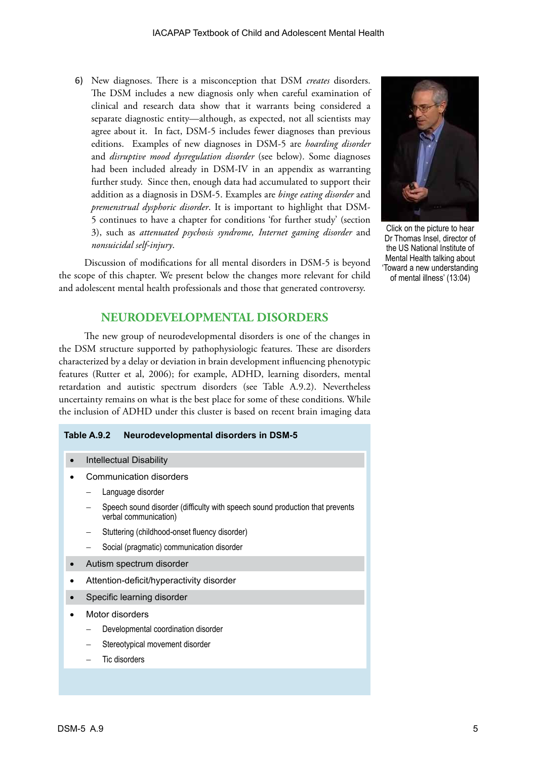6) New diagnoses. There is a misconception that DSM *creates* disorders. The DSM includes a new diagnosis only when careful examination of clinical and research data show that it warrants being considered a separate diagnostic entity—although, as expected, not all scientists may agree about it. In fact, DSM-5 includes fewer diagnoses than previous editions. Examples of new diagnoses in DSM-5 are *hoarding disorder* and *disruptive mood dysregulation disorder* (see below). Some diagnoses had been included already in DSM-IV in an appendix as warranting further study. Since then, enough data had accumulated to support their addition as a diagnosis in DSM-5. Examples are *binge eating disorder* and *premenstrual dysphoric disorder*. It is important to highlight that DSM-5 continues to have a chapter for conditions 'for further study' (section 3), such as *attenuated psychosis syndrome, Internet gaming disorder* and *nonsuicidal self-injury*.

Click on the picture to hear Dr Thomas Insel, director of the US National Institute of Mental Health talking about 'Toward a new understanding of mental illness' (13:04)

Discussion of modifications for all mental disorders in DSM-5 is beyond the scope of this chapter. We present below the changes more relevant for child and adolescent mental health professionals and those that generated controversy.

## **NEURODEVELOPMENTAL DISORDERS**

The new group of neurodevelopmental disorders is one of the changes in the DSM structure supported by pathophysiologic features. These are disorders characterized by a delay or deviation in brain development influencing phenotypic features (Rutter et al, 2006); for example, ADHD, learning disorders, mental retardation and autistic spectrum disorders (see Table A.9.2). Nevertheless uncertainty remains on what is the best place for some of these conditions. While the inclusion of ADHD under this cluster is based on recent brain imaging data

#### **Table A.9.2 Neurodevelopmental disorders in DSM-5**

- **Intellectual Disability**
- Communication disorders
	- Language disorder
	- Speech sound disorder (difficulty with speech sound production that prevents verbal communication)
	- Stuttering (childhood-onset fluency disorder)
	- Social (pragmatic) communication disorder
- Autism spectrum disorder
- Attention-deficit/hyperactivity disorder
- Specific learning disorder
- **Motor disorders** 
	- Developmental coordination disorder
	- Stereotypical movement disorder
	- Tic disorders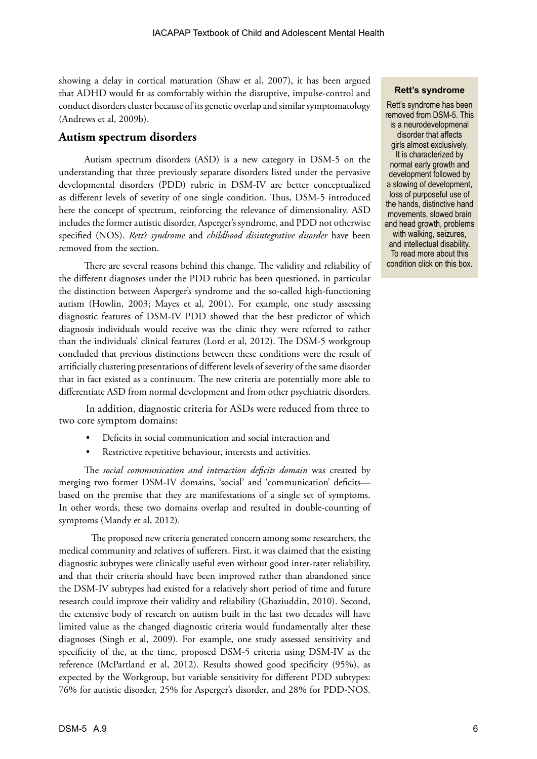showing a delay in cortical maturation (Shaw et al, 2007), it has been argued that ADHD would fit as comfortably within the disruptive, impulse-control and conduct disorders cluster because of its genetic overlap and similar symptomatology (Andrews et al, 2009b).

#### **Autism spectrum disorders**

Autism spectrum disorders (ASD) is a new category in DSM-5 on the understanding that three previously separate disorders listed under the pervasive developmental disorders (PDD) rubric in DSM-IV are better conceptualized as different levels of severity of one single condition. Thus, DSM-5 introduced here the concept of spectrum, reinforcing the relevance of dimensionality. ASD includes the former autistic disorder, Asperger's syndrome, and PDD not otherwise specified (NOS). *Rett's syndrome* and *childhood disintegrative disorder* have been removed from the section.

There are several reasons behind this change. The validity and reliability of the different diagnoses under the PDD rubric has been questioned, in particular the distinction between Asperger's syndrome and the so-called high-functioning autism (Howlin, 2003; Mayes et al, 2001). For example, one study assessing diagnostic features of DSM-IV PDD showed that the best predictor of which diagnosis individuals would receive was the clinic they were referred to rather than the individuals' clinical features (Lord et al, 2012). The DSM-5 workgroup concluded that previous distinctions between these conditions were the result of artificially clustering presentations of different levels of severity of the same disorder that in fact existed as a continuum. The new criteria are potentially more able to differentiate ASD from normal development and from other psychiatric disorders.

 In addition, diagnostic criteria for ASDs were reduced from three to two core symptom domains:

- Deficits in social communication and social interaction and
- Restrictive repetitive behaviour, interests and activities.

The *social communication and interaction deficits domain* was created by merging two former DSM-IV domains, 'social' and 'communication' deficits based on the premise that they are manifestations of a single set of symptoms. In other words, these two domains overlap and resulted in double-counting of symptoms (Mandy et al, 2012).

The proposed new criteria generated concern among some researchers, the medical community and relatives of sufferers. First, it was claimed that the existing diagnostic subtypes were clinically useful even without good inter-rater reliability, and that their criteria should have been improved rather than abandoned since the DSM-IV subtypes had existed for a relatively short period of time and future research could improve their validity and reliability (Ghaziuddin, 2010). Second, the extensive body of research on autism built in the last two decades will have limited value as the changed diagnostic criteria would fundamentally alter these diagnoses (Singh et al, 2009). For example, one study assessed sensitivity and specificity of the, at the time, proposed DSM-5 criteria using DSM-IV as the reference (McPartland et al, 2012). Results showed good specificity (95%), as expected by the Workgroup, but variable sensitivity for different PDD subtypes: 76% for autistic disorder, 25% for Asperger's disorder, and 28% for PDD-NOS.

#### **Rett's syndrome**

Rett's syndrome has been removed from DSM-5. This is a neurodevelopmenal disorder that affects girls almost exclusively. It is characterized by normal early growth and development followed by a slowing of development, loss of purposeful use of the hands, distinctive hand movements, slowed brain [and head growth, problems](http://www.ninds.nih.gov/disorders/rett/detail_rett.htm)  with walking, seizures, and intellectual disability. To read more about this condition click on this box.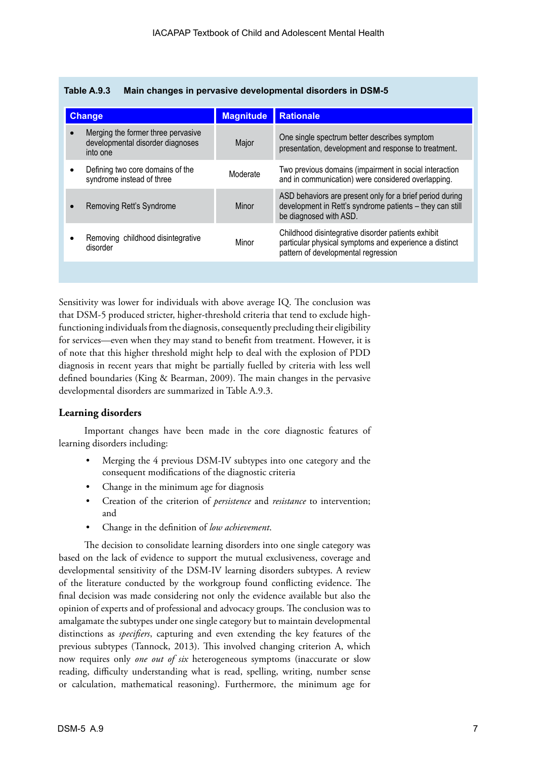| <b>Change</b>                                                                      | <b>Magnitude</b> | <b>Rationale</b>                                                                                                                                    |
|------------------------------------------------------------------------------------|------------------|-----------------------------------------------------------------------------------------------------------------------------------------------------|
| Merging the former three pervasive<br>developmental disorder diagnoses<br>into one | Major            | One single spectrum better describes symptom<br>presentation, development and response to treatment.                                                |
| Defining two core domains of the<br>syndrome instead of three                      | Moderate         | Two previous domains (impairment in social interaction<br>and in communication) were considered overlapping.                                        |
| Removing Rett's Syndrome                                                           | Minor            | ASD behaviors are present only for a brief period during<br>development in Rett's syndrome patients - they can still<br>be diagnosed with ASD.      |
| Removing childhood disintegrative<br>disorder                                      | Minor            | Childhood disintegrative disorder patients exhibit<br>particular physical symptoms and experience a distinct<br>pattern of developmental regression |
|                                                                                    |                  |                                                                                                                                                     |

| Table A.9.3 |  |  |  | Main changes in pervasive developmental disorders in DSM-5 |  |
|-------------|--|--|--|------------------------------------------------------------|--|
|-------------|--|--|--|------------------------------------------------------------|--|

Sensitivity was lower for individuals with above average IQ. The conclusion was that DSM-5 produced stricter, higher-threshold criteria that tend to exclude highfunctioning individuals from the diagnosis, consequently precluding their eligibility for services—even when they may stand to benefit from treatment. However, it is of note that this higher threshold might help to deal with the explosion of PDD diagnosis in recent years that might be partially fuelled by criteria with less well defined boundaries (King & Bearman, 2009). The main changes in the pervasive developmental disorders are summarized in Table A.9.3.

#### **Learning disorders**

Important changes have been made in the core diagnostic features of learning disorders including:

- Merging the 4 previous DSM-IV subtypes into one category and the consequent modifications of the diagnostic criteria
- Change in the minimum age for diagnosis
- Creation of the criterion of *persistence* and *resistance* to intervention; and
- Change in the definition of *low achievement*.

The decision to consolidate learning disorders into one single category was based on the lack of evidence to support the mutual exclusiveness, coverage and developmental sensitivity of the DSM-IV learning disorders subtypes. A review of the literature conducted by the workgroup found conflicting evidence. The final decision was made considering not only the evidence available but also the opinion of experts and of professional and advocacy groups. The conclusion was to amalgamate the subtypes under one single category but to maintain developmental distinctions as *specifiers*, capturing and even extending the key features of the previous subtypes (Tannock, 2013). This involved changing criterion A, which now requires only *one out of six* heterogeneous symptoms (inaccurate or slow reading, difficulty understanding what is read, spelling, writing, number sense or calculation, mathematical reasoning). Furthermore, the minimum age for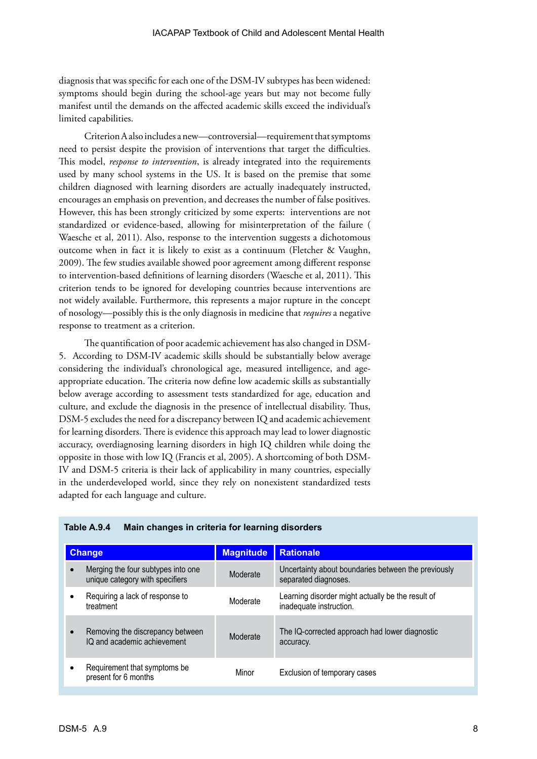diagnosis that was specific for each one of the DSM-IV subtypes has been widened: symptoms should begin during the school-age years but may not become fully manifest until the demands on the affected academic skills exceed the individual's limited capabilities.

Criterion A also includes a new—controversial—requirement that symptoms need to persist despite the provision of interventions that target the difficulties. This model, *response to intervention*, is already integrated into the requirements used by many school systems in the US. It is based on the premise that some children diagnosed with learning disorders are actually inadequately instructed, encourages an emphasis on prevention, and decreases the number of false positives. However, this has been strongly criticized by some experts: interventions are not standardized or evidence-based, allowing for misinterpretation of the failure ( Waesche et al, 2011). Also, response to the intervention suggests a dichotomous outcome when in fact it is likely to exist as a continuum (Fletcher & Vaughn, 2009). The few studies available showed poor agreement among different response to intervention-based definitions of learning disorders (Waesche et al, 2011). This criterion tends to be ignored for developing countries because interventions are not widely available. Furthermore, this represents a major rupture in the concept of nosology—possibly this is the only diagnosis in medicine that *requires* a negative response to treatment as a criterion.

The quantification of poor academic achievement has also changed in DSM-5. According to DSM-IV academic skills should be substantially below average considering the individual's chronological age, measured intelligence, and ageappropriate education. The criteria now define low academic skills as substantially below average according to assessment tests standardized for age, education and culture, and exclude the diagnosis in the presence of intellectual disability. Thus, DSM-5 excludes the need for a discrepancy between IQ and academic achievement for learning disorders. There is evidence this approach may lead to lower diagnostic accuracy, overdiagnosing learning disorders in high IQ children while doing the opposite in those with low IQ (Francis et al, 2005). A shortcoming of both DSM-IV and DSM-5 criteria is their lack of applicability in many countries, especially in the underdeveloped world, since they rely on nonexistent standardized tests adapted for each language and culture.

| <b>Change</b>                                                         | <b>Magnitude</b> | <b>Rationale</b>                                                             |
|-----------------------------------------------------------------------|------------------|------------------------------------------------------------------------------|
| Merging the four subtypes into one<br>unique category with specifiers | Moderate         | Uncertainty about boundaries between the previously<br>separated diagnoses.  |
| Requiring a lack of response to<br>treatment                          | Moderate         | Learning disorder might actually be the result of<br>inadequate instruction. |
| Removing the discrepancy between<br>IQ and academic achievement       | Moderate         | The IQ-corrected approach had lower diagnostic<br>accuracy.                  |
| Requirement that symptoms be<br>present for 6 months                  | Minor            | Exclusion of temporary cases                                                 |

#### **Table A.9.4 Main changes in criteria for learning disorders**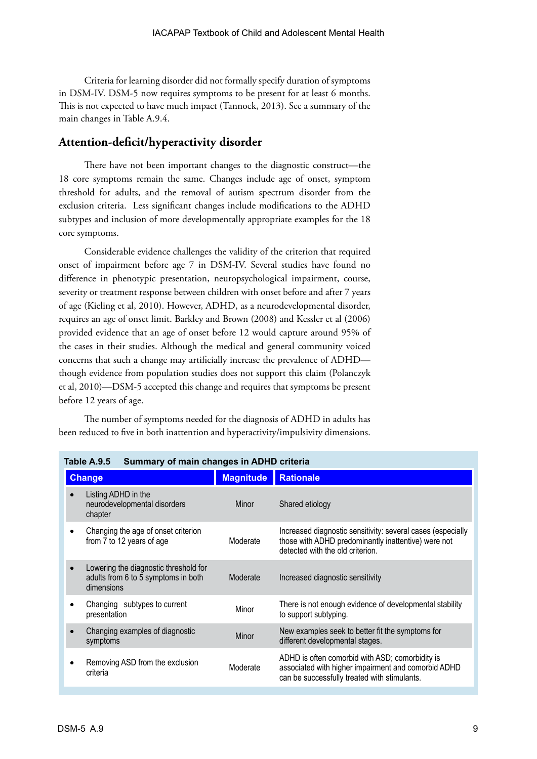Criteria for learning disorder did not formally specify duration of symptoms in DSM-IV. DSM-5 now requires symptoms to be present for at least 6 months. This is not expected to have much impact (Tannock, 2013). See a summary of the main changes in Table A.9.4.

## **Attention-deficit/hyperactivity disorder**

There have not been important changes to the diagnostic construct—the 18 core symptoms remain the same. Changes include age of onset, symptom threshold for adults, and the removal of autism spectrum disorder from the exclusion criteria. Less significant changes include modifications to the ADHD subtypes and inclusion of more developmentally appropriate examples for the 18 core symptoms.

Considerable evidence challenges the validity of the criterion that required onset of impairment before age 7 in DSM-IV. Several studies have found no difference in phenotypic presentation, neuropsychological impairment, course, severity or treatment response between children with onset before and after 7 years of age (Kieling et al, 2010). However, ADHD, as a neurodevelopmental disorder, requires an age of onset limit. Barkley and Brown (2008) and Kessler et al (2006) provided evidence that an age of onset before 12 would capture around 95% of the cases in their studies. Although the medical and general community voiced concerns that such a change may artificially increase the prevalence of ADHD though evidence from population studies does not support this claim (Polanczyk et al, 2010)—DSM-5 accepted this change and requires that symptoms be present before 12 years of age.

The number of symptoms needed for the diagnosis of ADHD in adults has been reduced to five in both inattention and hyperactivity/impulsivity dimensions.

| <b>Change</b>                                                                                           | <b>Magnitude</b> | <b>Rationale</b>                                                                                                                                       |
|---------------------------------------------------------------------------------------------------------|------------------|--------------------------------------------------------------------------------------------------------------------------------------------------------|
| Listing ADHD in the<br>neurodevelopmental disorders<br>chapter                                          | Minor            | Shared etiology                                                                                                                                        |
| Changing the age of onset criterion<br>from 7 to 12 years of age                                        | Moderate         | Increased diagnostic sensitivity: several cases (especially<br>those with ADHD predominantly inattentive) were not<br>detected with the old criterion. |
| Lowering the diagnostic threshold for<br>$\bullet$<br>adults from 6 to 5 symptoms in both<br>dimensions | Moderate         | Increased diagnostic sensitivity                                                                                                                       |
| Changing subtypes to current<br>presentation                                                            | Minor            | There is not enough evidence of developmental stability<br>to support subtyping.                                                                       |
| Changing examples of diagnostic<br>symptoms                                                             | <b>Minor</b>     | New examples seek to better fit the symptoms for<br>different developmental stages.                                                                    |
| Removing ASD from the exclusion<br>criteria                                                             | Moderate         | ADHD is often comorbid with ASD; comorbidity is<br>associated with higher impairment and comorbid ADHD<br>can be successfully treated with stimulants. |

**Table A.9.5 Summary of main changes in ADHD criteria**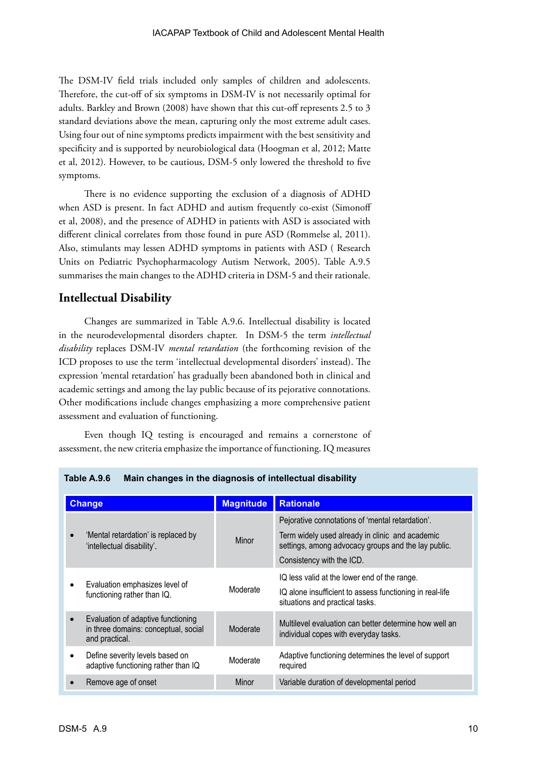The DSM-IV field trials included only samples of children and adolescents. Therefore, the cut-off of six symptoms in DSM-IV is not necessarily optimal for adults. Barkley and Brown (2008) have shown that this cut-off represents 2.5 to 3 standard deviations above the mean, capturing only the most extreme adult cases. Using four out of nine symptoms predicts impairment with the best sensitivity and specificity and is supported by neurobiological data (Hoogman et al, 2012; Matte et al, 2012). However, to be cautious, DSM-5 only lowered the threshold to five symptoms.

There is no evidence supporting the exclusion of a diagnosis of ADHD when ASD is present. In fact ADHD and autism frequently co-exist (Simonoff et al, 2008), and the presence of ADHD in patients with ASD is associated with different clinical correlates from those found in pure ASD (Rommelse al, 2011). Also, stimulants may lessen ADHD symptoms in patients with ASD ( Research Units on Pediatric Psychopharmacology Autism Network, 2005). Table A.9.5 summarises the main changes to the ADHD criteria in DSM-5 and their rationale.

## **Intellectual Disability**

Changes are summarized in Table A.9.6. Intellectual disability is located in the neurodevelopmental disorders chapter. In DSM-5 the term *intellectual disability* replaces DSM-IV *mental retardation* (the forthcoming revision of the ICD proposes to use the term 'intellectual developmental disorders' instead). The expression 'mental retardation' has gradually been abandoned both in clinical and academic settings and among the lay public because of its pejorative connotations. Other modifications include changes emphasizing a more comprehensive patient assessment and evaluation of functioning.

Even though IQ testing is encouraged and remains a cornerstone of assessment, the new criteria emphasize the importance of functioning. IQ measures

| <b>Change</b>                                                                                             | <b>Magnitude</b> | <b>Rationale</b>                                                                                                                                           |
|-----------------------------------------------------------------------------------------------------------|------------------|------------------------------------------------------------------------------------------------------------------------------------------------------------|
| 'Mental retardation' is replaced by<br>'intellectual disability'.                                         | Minor            | Pejorative connotations of 'mental retardation'.<br>Term widely used already in clinic and academic<br>settings, among advocacy groups and the lay public. |
|                                                                                                           |                  | Consistency with the ICD.<br>IQ less valid at the lower end of the range.                                                                                  |
| Evaluation emphasizes level of<br>functioning rather than IQ.                                             | Moderate         | IQ alone insufficient to assess functioning in real-life<br>situations and practical tasks.                                                                |
| Evaluation of adaptive functioning<br>$\bullet$<br>in three domains: conceptual, social<br>and practical. | Moderate         | Multilevel evaluation can better determine how well an<br>individual copes with everyday tasks.                                                            |
| Define severity levels based on<br>adaptive functioning rather than IQ                                    | Moderate         | Adaptive functioning determines the level of support<br>required                                                                                           |
| Remove age of onset                                                                                       | Minor            | Variable duration of developmental period                                                                                                                  |

**Table A.9.6 Main changes in the diagnosis of intellectual disability**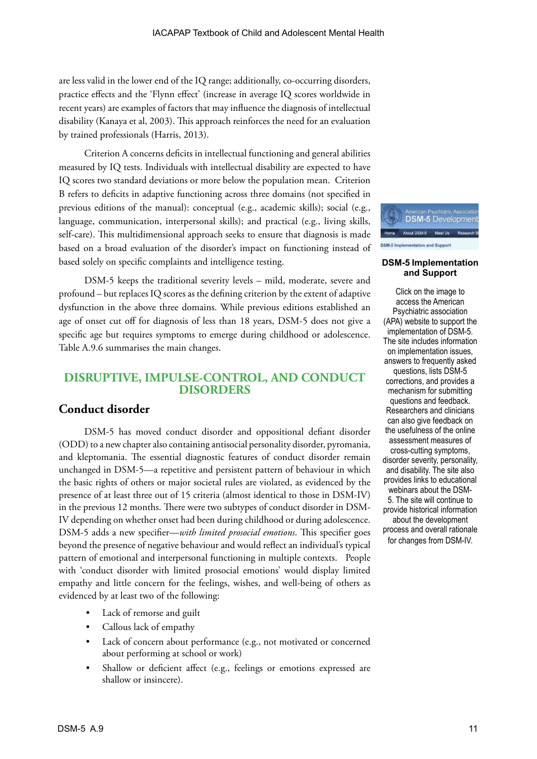are less valid in the lower end of the IQ range; additionally, co-occurring disorders, practice effects and the 'Flynn effect' (increase in average IQ scores worldwide in recent years) are examples of factors that may influence the diagnosis of intellectual disability (Kanaya et al, 2003). This approach reinforces the need for an evaluation by trained professionals (Harris, 2013).

Criterion A concerns deficits in intellectual functioning and general abilities measured by IQ tests. Individuals with intellectual disability are expected to have IQ scores two standard deviations or more below the population mean. Criterion B refers to deficits in adaptive functioning across three domains (not specified in previous editions of the manual): conceptual (e.g., academic skills); social (e.g., language, communication, interpersonal skills); and practical (e.g., living skills, self-care). This multidimensional approach seeks to ensure that diagnosis is made based on a broad evaluation of the disorder's impact on functioning instead of based solely on specific complaints and intelligence testing.

DSM-5 keeps the traditional severity levels – mild, moderate, severe and profound – but replaces IQ scores as the defining criterion by the extent of adaptive dysfunction in the above three domains. While previous editions established an age of onset cut off for diagnosis of less than 18 years, DSM-5 does not give a specific age but requires symptoms to emerge during childhood or adolescence. Table A.9.6 summarises the main changes.

## **DISRUPTIVE, IMPULSE-CONTROL, AND CONDUCT DISORDERS**

## **Conduct disorder**

DSM-5 has moved conduct disorder and oppositional defiant disorder (ODD) to a new chapter also containing antisocial personality disorder, pyromania, and kleptomania. The essential diagnostic features of conduct disorder remain unchanged in DSM-5—a repetitive and persistent pattern of behaviour in which the basic rights of others or major societal rules are violated, as evidenced by the presence of at least three out of 15 criteria (almost identical to those in DSM-IV) in the previous 12 months. There were two subtypes of conduct disorder in DSM-IV depending on whether onset had been during childhood or during adolescence. DSM-5 adds a new specifier—*with limited prosocial emotions*. This specifier goes beyond the presence of negative behaviour and would reflect an individual's typical pattern of emotional and interpersonal functioning in multiple contexts. People with 'conduct disorder with limited prosocial emotions' would display limited empathy and little concern for the feelings, wishes, and well-being of others as evidenced by at least two of the following:

- Lack of remorse and guilt
- Callous lack of empathy
- Lack of concern about performance (e.g., not motivated or concerned about performing at school or work)
- Shallow or deficient affect (e.g., feelings or emotions expressed are shallow or insincere).



#### **DSM-5 Implementation and Support**

Click on the image to access the American Psychiatric association (APA) website to support the implementation of DSM-5. The site includes information on implementation issues, answers to frequently asked questions, lists DSM-5 corrections, and provides a mechanism for submitting questions and feedback. Researchers and clinicians can also give feedback on the usefulness of the online assessment measures of cross-cutting symptoms, disorder severity, personality, and disability. The site also provides links to educational webinars about the DSM-5. The site will continue to provide historical information about the development process and overall rationale for changes from DSM-IV.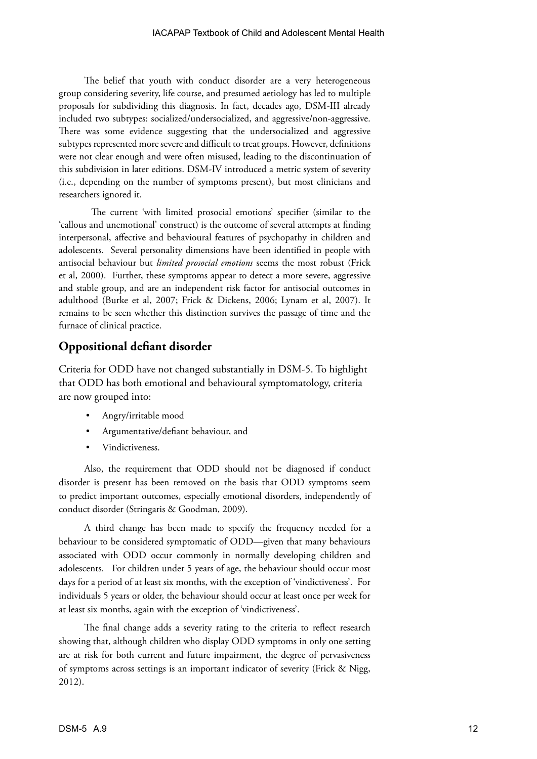The belief that youth with conduct disorder are a very heterogeneous group considering severity, life course, and presumed aetiology has led to multiple proposals for subdividing this diagnosis. In fact, decades ago, DSM-III already included two subtypes: socialized/undersocialized, and aggressive/non-aggressive. There was some evidence suggesting that the undersocialized and aggressive subtypes represented more severe and difficult to treat groups. However, definitions were not clear enough and were often misused, leading to the discontinuation of this subdivision in later editions. DSM-IV introduced a metric system of severity (i.e., depending on the number of symptoms present), but most clinicians and researchers ignored it.

The current 'with limited prosocial emotions' specifier (similar to the 'callous and unemotional' construct) is the outcome of several attempts at finding interpersonal, affective and behavioural features of psychopathy in children and adolescents. Several personality dimensions have been identified in people with antisocial behaviour but *limited prosocial emotions* seems the most robust (Frick et al, 2000). Further, these symptoms appear to detect a more severe, aggressive and stable group, and are an independent risk factor for antisocial outcomes in adulthood (Burke et al, 2007; Frick & Dickens, 2006; Lynam et al, 2007). It remains to be seen whether this distinction survives the passage of time and the furnace of clinical practice.

## **Oppositional defiant disorder**

Criteria for ODD have not changed substantially in DSM-5. To highlight that ODD has both emotional and behavioural symptomatology, criteria are now grouped into:

- Angry/irritable mood
- Argumentative/defiant behaviour, and
- Vindictiveness.

Also, the requirement that ODD should not be diagnosed if conduct disorder is present has been removed on the basis that ODD symptoms seem to predict important outcomes, especially emotional disorders, independently of conduct disorder (Stringaris & Goodman, 2009).

A third change has been made to specify the frequency needed for a behaviour to be considered symptomatic of ODD—given that many behaviours associated with ODD occur commonly in normally developing children and adolescents. For children under 5 years of age, the behaviour should occur most days for a period of at least six months, with the exception of 'vindictiveness'. For individuals 5 years or older, the behaviour should occur at least once per week for at least six months, again with the exception of 'vindictiveness'.

The final change adds a severity rating to the criteria to reflect research showing that, although children who display ODD symptoms in only one setting are at risk for both current and future impairment, the degree of pervasiveness of symptoms across settings is an important indicator of severity (Frick & Nigg, 2012).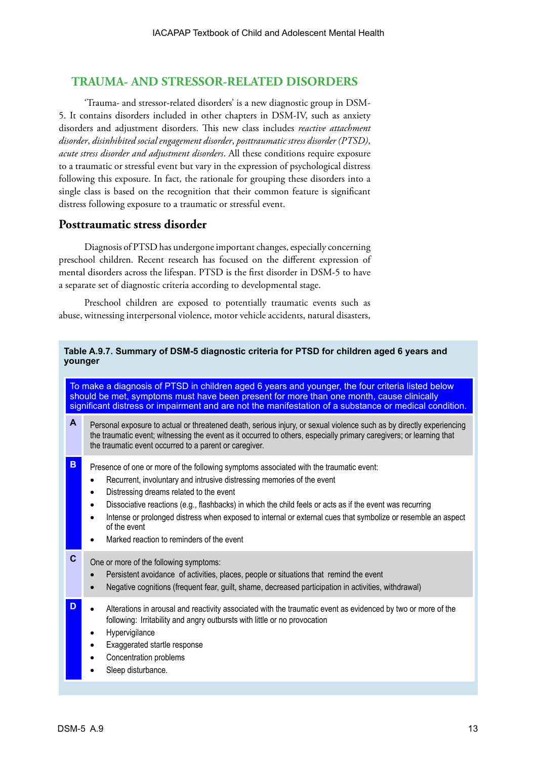## **TRAUMA- AND STRESSOR-RELATED DISORDERS**

'Trauma- and stressor-related disorders' is a new diagnostic group in DSM-5. It contains disorders included in other chapters in DSM-IV, such as anxiety disorders and adjustment disorders. This new class includes *reactive attachment disorder*, *disinhibited social engagement disorder*, *posttraumatic stress disorder (PTSD)*, *acute stress disorder and adjustment disorders*. All these conditions require exposure to a traumatic or stressful event but vary in the expression of psychological distress following this exposure. In fact, the rationale for grouping these disorders into a single class is based on the recognition that their common feature is significant distress following exposure to a traumatic or stressful event.

## **Posttraumatic stress disorder**

Diagnosis of PTSD has undergone important changes, especially concerning preschool children. Recent research has focused on the different expression of mental disorders across the lifespan. PTSD is the first disorder in DSM-5 to have a separate set of diagnostic criteria according to developmental stage.

Preschool children are exposed to potentially traumatic events such as abuse, witnessing interpersonal violence, motor vehicle accidents, natural disasters,

#### **Table A.9.7. Summary of DSM-5 diagnostic criteria for PTSD for children aged 6 years and younger**

To make a diagnosis of PTSD in children aged 6 years and younger, the four criteria listed below should be met, symptoms must have been present for more than one month, cause clinically significant distress or impairment and are not the manifestation of a substance or medical condition.

**A** Personal exposure to actual or threatened death, serious injury, or sexual violence such as by directly experiencing the traumatic event; witnessing the event as it occurred to others, especially primary caregivers; or learning that the traumatic event occurred to a parent or caregiver.

- **B** Presence of one or more of the following symptoms associated with the traumatic event:
	- Recurrent, involuntary and intrusive distressing memories of the event
	- Distressing dreams related to the event
	- Dissociative reactions (e.g., flashbacks) in which the child feels or acts as if the event was recurring
	- Intense or prolonged distress when exposed to internal or external cues that symbolize or resemble an aspect of the event
	- Marked reaction to reminders of the event

## **C** One or more of the following symptoms:

- Persistent avoidance of activities, places, people or situations that remind the event
- Negative cognitions (frequent fear, guilt, shame, decreased participation in activities, withdrawal)
- **D** Alterations in arousal and reactivity associated with the traumatic event as evidenced by two or more of the following: Irritability and angry outbursts with little or no provocation
	- **Hypervigilance**
	- **Exaggerated startle response**
	- Concentration problems
	- Sleep disturbance.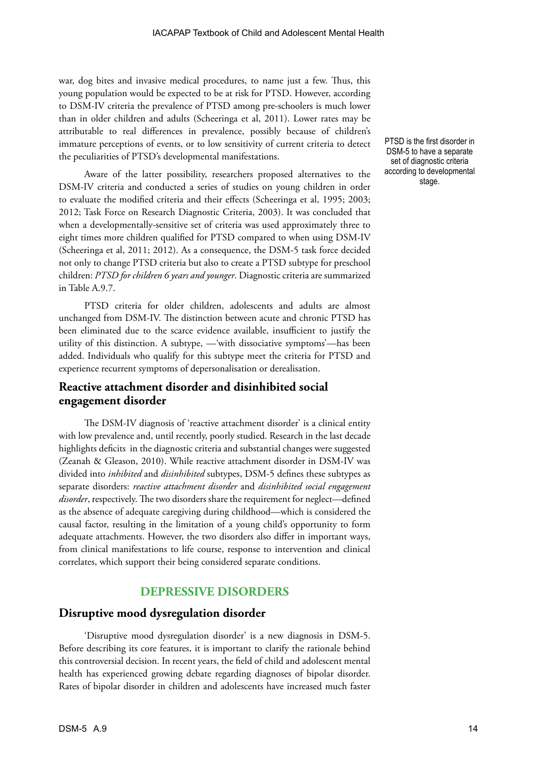war, dog bites and invasive medical procedures, to name just a few. Thus, this young population would be expected to be at risk for PTSD. However, according to DSM-IV criteria the prevalence of PTSD among pre-schoolers is much lower than in older children and adults (Scheeringa et al, 2011). Lower rates may be attributable to real differences in prevalence, possibly because of children's immature perceptions of events, or to low sensitivity of current criteria to detect the peculiarities of PTSD's developmental manifestations.

Aware of the latter possibility, researchers proposed alternatives to the DSM-IV criteria and conducted a series of studies on young children in order to evaluate the modified criteria and their effects (Scheeringa et al, 1995; 2003; 2012; Task Force on Research Diagnostic Criteria, 2003). It was concluded that when a developmentally-sensitive set of criteria was used approximately three to eight times more children qualified for PTSD compared to when using DSM-IV (Scheeringa et al, 2011; 2012). As a consequence, the DSM-5 task force decided not only to change PTSD criteria but also to create a PTSD subtype for preschool children: *PTSD for children 6 years and younger*. Diagnostic criteria are summarized in Table A.9.7.

PTSD criteria for older children, adolescents and adults are almost unchanged from DSM-IV. The distinction between acute and chronic PTSD has been eliminated due to the scarce evidence available, insufficient to justify the utility of this distinction. A subtype, —'with dissociative symptoms'—has been added. Individuals who qualify for this subtype meet the criteria for PTSD and experience recurrent symptoms of depersonalisation or derealisation.

## **Reactive attachment disorder and disinhibited social engagement disorder**

The DSM-IV diagnosis of 'reactive attachment disorder' is a clinical entity with low prevalence and, until recently, poorly studied. Research in the last decade highlights deficits in the diagnostic criteria and substantial changes were suggested (Zeanah & Gleason, 2010). While reactive attachment disorder in DSM-IV was divided into *inhibited* and *disinhibited* subtypes, DSM-5 defines these subtypes as separate disorders: *reactive attachment disorder* and *disinhibited social engagement disorder*, respectively. The two disorders share the requirement for neglect—defined as the absence of adequate caregiving during childhood—which is considered the causal factor, resulting in the limitation of a young child's opportunity to form adequate attachments. However, the two disorders also differ in important ways, from clinical manifestations to life course, response to intervention and clinical correlates, which support their being considered separate conditions.

## **DEPRESSIVE DISORDERS**

#### **Disruptive mood dysregulation disorder**

'Disruptive mood dysregulation disorder' is a new diagnosis in DSM-5. Before describing its core features, it is important to clarify the rationale behind this controversial decision. In recent years, the field of child and adolescent mental health has experienced growing debate regarding diagnoses of bipolar disorder. Rates of bipolar disorder in children and adolescents have increased much faster PTSD is the first disorder in DSM-5 to have a separate set of diagnostic criteria according to developmental stage.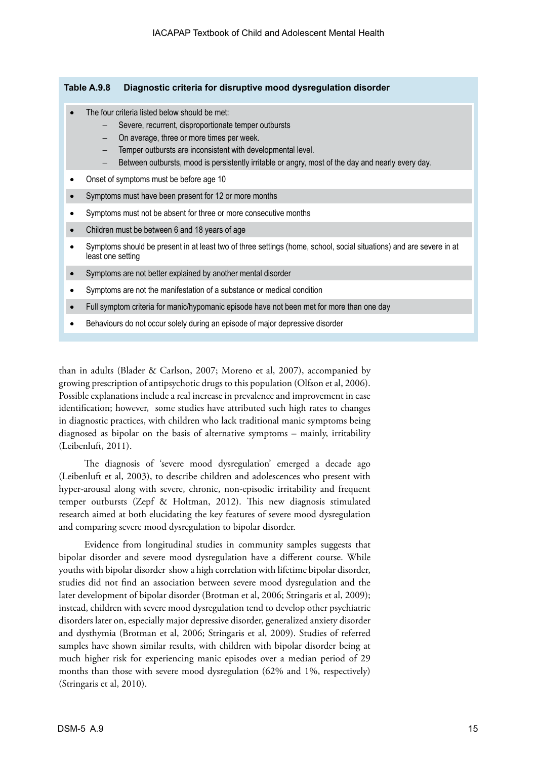#### **Table A.9.8 Diagnostic criteria for disruptive mood dysregulation disorder**

- The four criteria listed below should be met:
	- Severe, recurrent, disproportionate temper outbursts
	- On average, three or more times per week.
	- Temper outbursts are inconsistent with developmental level.
	- Between outbursts, mood is persistently irritable or angry, most of the day and nearly every day.
- Onset of symptoms must be before age 10
- Symptoms must have been present for 12 or more months
- Symptoms must not be absent for three or more consecutive months
- Children must be between 6 and 18 years of age
- Symptoms should be present in at least two of three settings (home, school, social situations) and are severe in at least one setting
- Symptoms are not better explained by another mental disorder
- • Symptoms are not the manifestation of a substance or medical condition
- Full symptom criteria for manic/hypomanic episode have not been met for more than one day
- Behaviours do not occur solely during an episode of major depressive disorder

than in adults (Blader & Carlson, 2007; Moreno et al, 2007), accompanied by growing prescription of antipsychotic drugs to this population (Olfson et al, 2006). Possible explanations include a real increase in prevalence and improvement in case identification; however, some studies have attributed such high rates to changes in diagnostic practices, with children who lack traditional manic symptoms being diagnosed as bipolar on the basis of alternative symptoms – mainly, irritability (Leibenluft, 2011).

The diagnosis of 'severe mood dysregulation' emerged a decade ago (Leibenluft et al, 2003), to describe children and adolescences who present with hyper-arousal along with severe, chronic, non-episodic irritability and frequent temper outbursts (Zepf & Holtman, 2012). This new diagnosis stimulated research aimed at both elucidating the key features of severe mood dysregulation and comparing severe mood dysregulation to bipolar disorder.

Evidence from longitudinal studies in community samples suggests that bipolar disorder and severe mood dysregulation have a different course. While youths with bipolar disorder show a high correlation with lifetime bipolar disorder, studies did not find an association between severe mood dysregulation and the later development of bipolar disorder (Brotman et al, 2006; Stringaris et al, 2009); instead, children with severe mood dysregulation tend to develop other psychiatric disorders later on, especially major depressive disorder, generalized anxiety disorder and dysthymia (Brotman et al, 2006; Stringaris et al, 2009). Studies of referred samples have shown similar results, with children with bipolar disorder being at much higher risk for experiencing manic episodes over a median period of 29 months than those with severe mood dysregulation (62% and 1%, respectively) (Stringaris et al, 2010).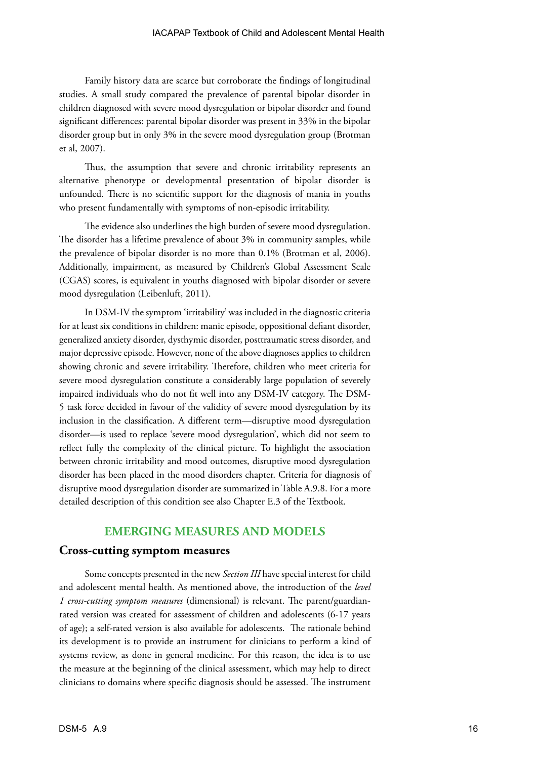Family history data are scarce but corroborate the findings of longitudinal studies. A small study compared the prevalence of parental bipolar disorder in children diagnosed with severe mood dysregulation or bipolar disorder and found significant differences: parental bipolar disorder was present in 33% in the bipolar disorder group but in only 3% in the severe mood dysregulation group (Brotman et al, 2007).

Thus, the assumption that severe and chronic irritability represents an alternative phenotype or developmental presentation of bipolar disorder is unfounded. There is no scientific support for the diagnosis of mania in youths who present fundamentally with symptoms of non-episodic irritability.

The evidence also underlines the high burden of severe mood dysregulation. The disorder has a lifetime prevalence of about 3% in community samples, while the prevalence of bipolar disorder is no more than 0.1% (Brotman et al, 2006). Additionally, impairment, as measured by Children's Global Assessment Scale (CGAS) scores, is equivalent in youths diagnosed with bipolar disorder or severe mood dysregulation (Leibenluft, 2011).

In DSM-IV the symptom 'irritability' was included in the diagnostic criteria for at least six conditions in children: manic episode, oppositional defiant disorder, generalized anxiety disorder, dysthymic disorder, posttraumatic stress disorder, and major depressive episode. However, none of the above diagnoses applies to children showing chronic and severe irritability. Therefore, children who meet criteria for severe mood dysregulation constitute a considerably large population of severely impaired individuals who do not fit well into any DSM-IV category. The DSM-5 task force decided in favour of the validity of severe mood dysregulation by its inclusion in the classification. A different term—disruptive mood dysregulation disorder—is used to replace 'severe mood dysregulation', which did not seem to reflect fully the complexity of the clinical picture. To highlight the association between chronic irritability and mood outcomes, disruptive mood dysregulation disorder has been placed in the mood disorders chapter. Criteria for diagnosis of disruptive mood dysregulation disorder are summarized in Table A.9.8. For a more detailed description of this condition see also Chapter E.3 of the Textbook.

## **EMERGING MEASURES AND MODELS**

#### **Cross-cutting symptom measures**

Some concepts presented in the new *Section III* have special interest for child and adolescent mental health. As mentioned above, the introduction of the *level 1 cross-cutting symptom measures* (dimensional) is relevant. The parent/guardianrated version was created for assessment of children and adolescents (6-17 years of age); a self-rated version is also available for adolescents. The rationale behind its development is to provide an instrument for clinicians to perform a kind of systems review, as done in general medicine. For this reason, the idea is to use the measure at the beginning of the clinical assessment, which may help to direct clinicians to domains where specific diagnosis should be assessed. The instrument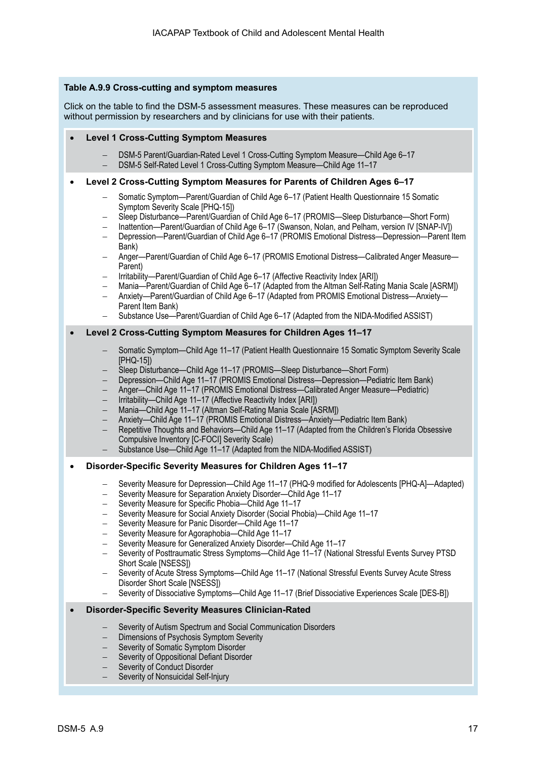#### **Table A.9.9 Cross-cutting and symptom measures**

[Click on the table to find the DSM-5 assessment measures. These measures can be reproduced](http://www.psychiatry.org/practice/dsm/dsm5/online-assessment-measures)  without permission by researchers and by clinicians for use with their patients.

#### **Level 1 Cross-Cutting Symptom Measures**

- DSM-5 Parent/Guardian-Rated Level 1 Cross-Cutting Symptom Measure—Child Age 6–17
- DSM-5 Self-Rated Level 1 Cross-Cutting Symptom Measure—Child Age 11–17

#### **Level 2 Cross-Cutting Symptom Measures for Parents of Children Ages 6-17**

- Somatic Symptom—Parent/Guardian of Child Age 6–17 (Patient Health Questionnaire 15 Somatic Symptom Severity Scale [PHQ-15])
- Sleep Disturbance—Parent/Guardian of Child Age 6–17 (PROMIS—Sleep Disturbance—Short Form)
- Inattention—Parent/Guardian of Child Age 6–17 (Swanson, Nolan, and Pelham, version IV [SNAP-IV])
- Depression—Parent/Guardian of Child Age 6–17 (PROMIS Emotional Distress—Depression—Parent Item Bank)
- − Anger—Parent/Guardian of Child Age 6–17 (PROMIS Emotional Distress—Calibrated Anger Measure— Parent)
- − Irritability—Parent/Guardian of Child Age 6–17 (Affective Reactivity Index [ARI])
- Mania—Parent/Guardian of Child Age 6–17 (Adapted from the Altman Self-Rating Mania Scale [ASRM])
- − Anxiety—Parent/Guardian of Child Age 6–17 (Adapted from PROMIS Emotional Distress—Anxiety— Parent Item Bank)
- Substance Use—Parent/Guardian of Child Age 6–17 (Adapted from the NIDA-Modified ASSIST)

#### **Level 2 Cross-Cutting Symptom Measures for Children Ages 11-17**

- Somatic Symptom—Child Age 11–17 (Patient Health Questionnaire 15 Somatic Symptom Severity Scale [PHQ-15])
- − Sleep Disturbance—Child Age 11–17 (PROMIS—Sleep Disturbance—Short Form)
- Depression—Child Age 11–17 (PROMIS Emotional Distress—Depression—Pediatric Item Bank)
- − Anger—Child Age 11–17 (PROMIS Emotional Distress—Calibrated Anger Measure—Pediatric)
- − Irritability—Child Age 11–17 (Affective Reactivity Index [ARI])
- − Mania—Child Age 11–17 (Altman Self-Rating Mania Scale [ASRM])
- Anxiety—Child Age 11-17 (PROMIS Emotional Distress—Anxiety—Pediatric Item Bank)
- Repetitive Thoughts and Behaviors—Child Age 11–17 (Adapted from the Children's Florida Obsessive Compulsive Inventory [C-FOCI] Severity Scale)
- Substance Use—Child Age 11–17 (Adapted from the NIDA-Modified ASSIST)

#### **Disorder-Specific Severity Measures for Children Ages 11-17**

- − Severity Measure for Depression—Child Age 11–17 (PHQ-9 modified for Adolescents [PHQ-A]—Adapted)
- Severity Measure for Separation Anxiety Disorder—Child Age 11–17
- Severity Measure for Specific Phobia—Child Age 11–17
- Severity Measure for Social Anxiety Disorder (Social Phobia)—Child Age 11–17
- − Severity Measure for Panic Disorder—Child Age 11–17
- Severity Measure for Agoraphobia—Child Age 11–17
- Severity Measure for Generalized Anxiety Disorder—Child Age 11–17
- Severity of Posttraumatic Stress Symptoms—Child Age 11–17 (National Stressful Events Survey PTSD Short Scale [NSESS])
- Severity of Acute Stress Symptoms—Child Age 11-17 (National Stressful Events Survey Acute Stress Disorder Short Scale [NSESS])
- Severity of Dissociative Symptoms—Child Age 11–17 (Brief Dissociative Experiences Scale [DES-B])

#### **Disorder-Specific Severity Measures Clinician-Rated**

- Severity of Autism Spectrum and Social Communication Disorders
- Dimensions of Psychosis Symptom Severity
- Severity of Somatic Symptom Disorder
- Severity of Oppositional Defiant Disorder
- Severity of Conduct Disorder
- Severity of Nonsuicidal Self-Injury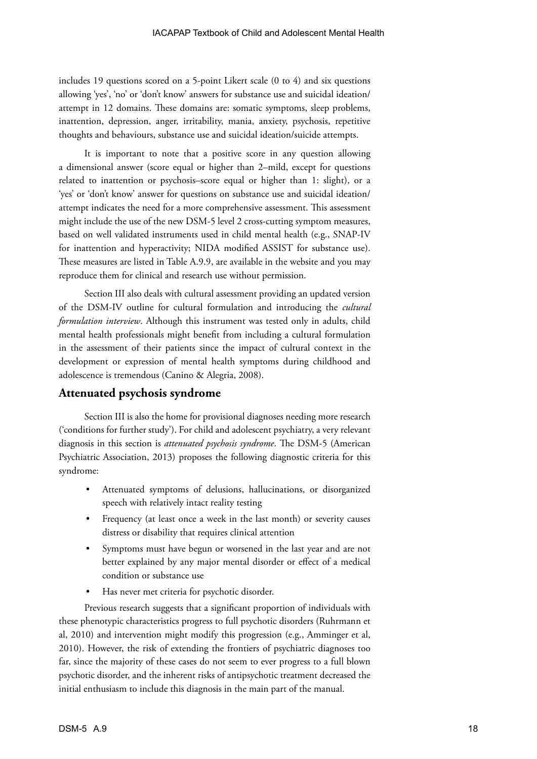includes 19 questions scored on a 5-point Likert scale (0 to 4) and six questions allowing 'yes', 'no' or 'don't know' answers for substance use and suicidal ideation/ attempt in 12 domains. These domains are: somatic symptoms, sleep problems, inattention, depression, anger, irritability, mania, anxiety, psychosis, repetitive thoughts and behaviours, substance use and suicidal ideation/suicide attempts.

It is important to note that a positive score in any question allowing a dimensional answer (score equal or higher than 2–mild, except for questions related to inattention or psychosis–score equal or higher than 1: slight), or a 'yes' or 'don't know' answer for questions on substance use and suicidal ideation/ attempt indicates the need for a more comprehensive assessment. This assessment might include the use of the new DSM-5 level 2 cross-cutting symptom measures, based on well validated instruments used in child mental health (e.g., SNAP-IV for inattention and hyperactivity; NIDA modified ASSIST for substance use). These measures are listed in Table A.9.9, are available in the website and you may reproduce them for clinical and research use without permission.

Section III also deals with cultural assessment providing an updated version of the DSM-IV outline for cultural formulation and introducing the *cultural formulation interview*. Although this instrument was tested only in adults, child mental health professionals might benefit from including a cultural formulation in the assessment of their patients since the impact of cultural context in the development or expression of mental health symptoms during childhood and adolescence is tremendous (Canino & Alegria, 2008).

## **Attenuated psychosis syndrome**

Section III is also the home for provisional diagnoses needing more research ('conditions for further study'). For child and adolescent psychiatry, a very relevant diagnosis in this section is *attenuated psychosis syndrome*. The DSM-5 (American Psychiatric Association, 2013) proposes the following diagnostic criteria for this syndrome:

- Attenuated symptoms of delusions, hallucinations, or disorganized speech with relatively intact reality testing
- Frequency (at least once a week in the last month) or severity causes distress or disability that requires clinical attention
- Symptoms must have begun or worsened in the last year and are not better explained by any major mental disorder or effect of a medical condition or substance use
- Has never met criteria for psychotic disorder.

Previous research suggests that a significant proportion of individuals with these phenotypic characteristics progress to full psychotic disorders (Ruhrmann et al, 2010) and intervention might modify this progression (e.g., Amminger et al, 2010). However, the risk of extending the frontiers of psychiatric diagnoses too far, since the majority of these cases do not seem to ever progress to a full blown psychotic disorder, and the inherent risks of antipsychotic treatment decreased the initial enthusiasm to include this diagnosis in the main part of the manual.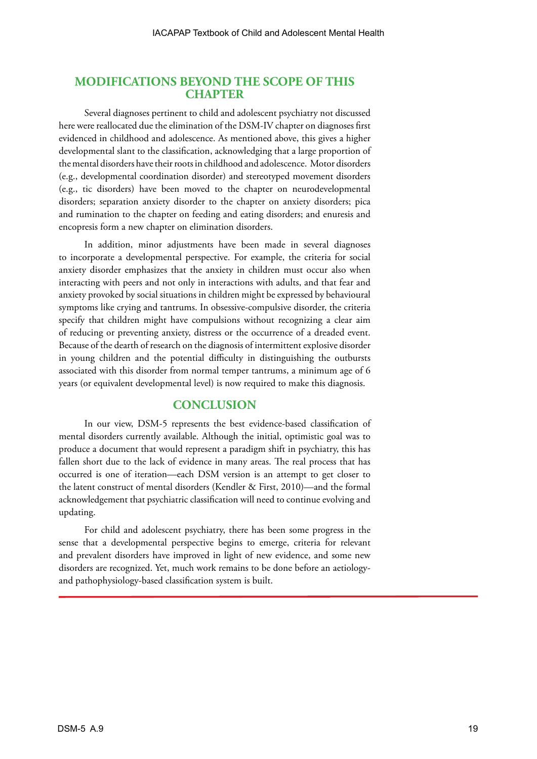## **MODIFICATIONS BEYOND THE SCOPE OF THIS CHAPTER**

Several diagnoses pertinent to child and adolescent psychiatry not discussed here were reallocated due the elimination of the DSM-IV chapter on diagnoses first evidenced in childhood and adolescence. As mentioned above, this gives a higher developmental slant to the classification, acknowledging that a large proportion of the mental disorders have their roots in childhood and adolescence. Motor disorders (e.g., developmental coordination disorder) and stereotyped movement disorders (e.g., tic disorders) have been moved to the chapter on neurodevelopmental disorders; separation anxiety disorder to the chapter on anxiety disorders; pica and rumination to the chapter on feeding and eating disorders; and enuresis and encopresis form a new chapter on elimination disorders.

In addition, minor adjustments have been made in several diagnoses to incorporate a developmental perspective. For example, the criteria for social anxiety disorder emphasizes that the anxiety in children must occur also when interacting with peers and not only in interactions with adults, and that fear and anxiety provoked by social situations in children might be expressed by behavioural symptoms like crying and tantrums. In obsessive-compulsive disorder, the criteria specify that children might have compulsions without recognizing a clear aim of reducing or preventing anxiety, distress or the occurrence of a dreaded event. Because of the dearth of research on the diagnosis of intermittent explosive disorder in young children and the potential difficulty in distinguishing the outbursts associated with this disorder from normal temper tantrums, a minimum age of 6 years (or equivalent developmental level) is now required to make this diagnosis.

## **CONCLUSION**

In our view, DSM-5 represents the best evidence-based classification of mental disorders currently available. Although the initial, optimistic goal was to produce a document that would represent a paradigm shift in psychiatry, this has fallen short due to the lack of evidence in many areas. The real process that has occurred is one of iteration—each DSM version is an attempt to get closer to the latent construct of mental disorders (Kendler & First, 2010)—and the formal acknowledgement that psychiatric classification will need to continue evolving and updating.

For child and adolescent psychiatry, there has been some progress in the sense that a developmental perspective begins to emerge, criteria for relevant and prevalent disorders have improved in light of new evidence, and some new disorders are recognized. Yet, much work remains to be done before an aetiologyand pathophysiology-based classification system is built.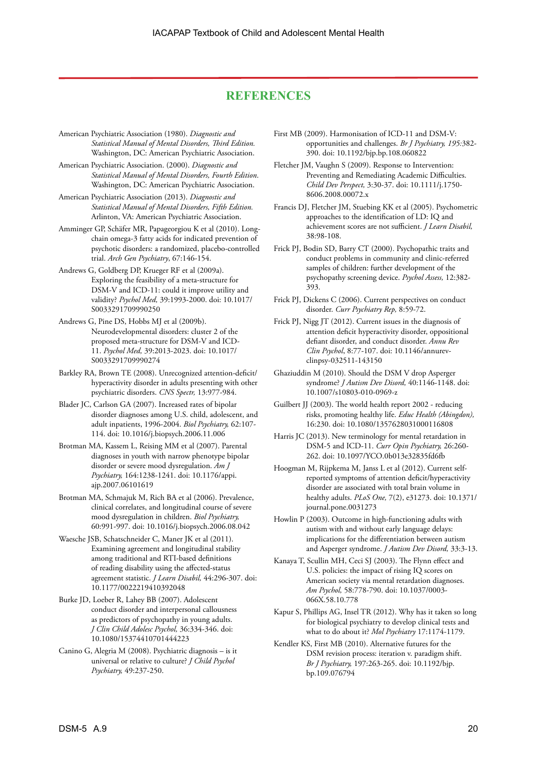## **REFERENCES**

- American Psychiatric Association (1980). *Diagnostic and Statistical Manual of Mental Disorders, Third Edition.* Washington, DC: American Psychiatric Association.
- American Psychiatric Association. (2000). *Diagnostic and Statistical Manual of Mental Disorders, Fourth Edition*. Washington, DC: American Psychiatric Association.
- American Psychiatric Association (2013). *Diagnostic and Statistical Manual of Mental Disorders, Fifth Edition.* Arlinton, VA: American Psychiatric Association.
- [Amminger GP,](http://www.ncbi.nlm.nih.gov/pubmed?term=Amminger%20GP%5BAuthor%5D&cauthor=true&cauthor_uid=20124114) Schäfer MR, [Papageorgiou K](http://www.ncbi.nlm.nih.gov/pubmed?term=Papageorgiou%20K%5BAuthor%5D&cauthor=true&cauthor_uid=20124114) et al (2010). Longchain omega-3 fatty acids for indicated prevention of psychotic disorders: a randomized, placebo-controlled trial. *[Arch Gen Psychiatry](http://www.ncbi.nlm.nih.gov/pubmed/20124114)*, 67:146-154.
- Andrews G, Goldberg DP, Krueger RF et al (2009a). Exploring the feasibility of a meta-structure for DSM-V and ICD-11: could it improve utility and validity? *Psychol Med,* 39:1993-2000. doi: 10.1017/ S0033291709990250
- Andrews G, Pine DS, Hobbs MJ et al (2009b). Neurodevelopmental disorders: cluster 2 of the proposed meta-structure for DSM-V and ICD-11. *Psychol Med,* 39:2013-2023. doi: 10.1017/ S0033291709990274
- Barkley RA, Brown TE (2008). Unrecognized attention-deficit/ hyperactivity disorder in adults presenting with other psychiatric disorders. *CNS Spectr,* 13:977-984.
- Blader JC, Carlson GA (2007). Increased rates of bipolar disorder diagnoses among U.S. child, adolescent, and adult inpatients, 1996-2004. *Biol Psychiatry,* 62:107- 114. doi: 10.1016/j.biopsych.2006.11.006
- Brotman MA, Kassem L, Reising MM et al (2007). Parental diagnoses in youth with narrow phenotype bipolar disorder or severe mood dysregulation. *Am J Psychiatry,* 164:1238-1241. doi: 10.1176/appi. ajp.2007.06101619
- Brotman MA, Schmajuk M, Rich BA et al (2006). Prevalence, clinical correlates, and longitudinal course of severe mood dysregulation in children. *Biol Psychiatry,*  60:991-997. doi: 10.1016/j.biopsych.2006.08.042
- Waesche JSB, Schatschneider C, Maner JK et al (2011). Examining agreement and longitudinal stability among traditional and RTI-based definitions of reading disability using the affected-status agreement statistic. *J Learn Disabil,* 44:296-307. doi: 10.1177/0022219410392048
- Burke JD, Loeber R, Lahey BB (2007). Adolescent conduct disorder and interpersonal callousness as predictors of psychopathy in young adults. *J Clin Child Adolesc Psychol,* 36:334-346. doi: 10.1080/15374410701444223
- Canino G, Alegria M (2008). Psychiatric diagnosis is it universal or relative to culture? *J Child Psychol Psychiatry,* 49:237-250.
- First MB (2009). Harmonisation of ICD-11 and DSM-V: opportunities and challenges. *Br J Psychiatry, 195:*382- 390. doi: 10.1192/bjp.bp.108.060822
- Fletcher JM, Vaughn S (2009). Response to Intervention: Preventing and Remediating Academic Difficulties. *Child Dev Perspect,* 3:30-37. doi: 10.1111/j.1750- 8606.2008.00072.x
- Francis DJ, Fletcher JM, Stuebing KK et al (2005). Psychometric approaches to the identification of LD: IQ and achievement scores are not sufficient. *J Learn Disabil,*  38:98-108.
- Frick PJ, Bodin SD, Barry CT (2000). Psychopathic traits and conduct problems in community and clinic-referred samples of children: further development of the psychopathy screening device. *Psychol Assess,* 12:382- 393.
- Frick PJ, Dickens C (2006). Current perspectives on conduct disorder. *Curr Psychiatry Rep,* 8:59-72.
- Frick PJ, Nigg JT (2012). Current issues in the diagnosis of attention deficit hyperactivity disorder, oppositional defiant disorder, and conduct disorder. *Annu Rev Clin Psychol*, 8:77-107. doi: 10.1146/annurevclinpsy-032511-143150
- Ghaziuddin M (2010). Should the DSM V drop Asperger syndrome? *J Autism Dev Disord,* 40:1146-1148. doi: 10.1007/s10803-010-0969-z
- Guilbert JJ (2003). The world health report 2002 reducing risks, promoting healthy life. *Educ Health (Abingdon),* 16:230. doi: 10.1080/1357628031000116808
- Harris JC (2013). New terminology for mental retardation in DSM-5 and ICD-11. *Curr Opin Psychiatry,* 26:260- 262. doi: 10.1097/YCO.0b013e32835fd6fb
- Hoogman M, Rijpkema M, Janss L et al (2012). Current selfreported symptoms of attention deficit/hyperactivity disorder are associated with total brain volume in healthy adults. *PLoS One,* 7(2), e31273. doi: 10.1371/ journal.pone.0031273
- Howlin P (2003). Outcome in high-functioning adults with autism with and without early language delays: implications for the differentiation between autism and Asperger syndrome. *J Autism Dev Disord,* 33:3-13.
- Kanaya T, Scullin MH, Ceci SJ (2003). The Flynn effect and U.S. policies: the impact of rising IQ scores on American society via mental retardation diagnoses. *Am Psychol,* 58:778-790. doi: 10.1037/0003- 066X.58.10.778
- Kapur S, Phillips AG, [Insel TR](http://www.ncbi.nlm.nih.gov/pubmed?term=Insel%20TR%5BAuthor%5D&cauthor=true&cauthor_uid=22869033) (2012). Why has it taken so long for biological psychiatry to develop clinical tests and what to do about it? *Mol Psychiatry* 17:1174-1179.
- Kendler KS, First MB (2010). Alternative futures for the DSM revision process: iteration v. paradigm shift. *Br J Psychiatry,* 197:263-265. doi: 10.1192/bjp. bp.109.076794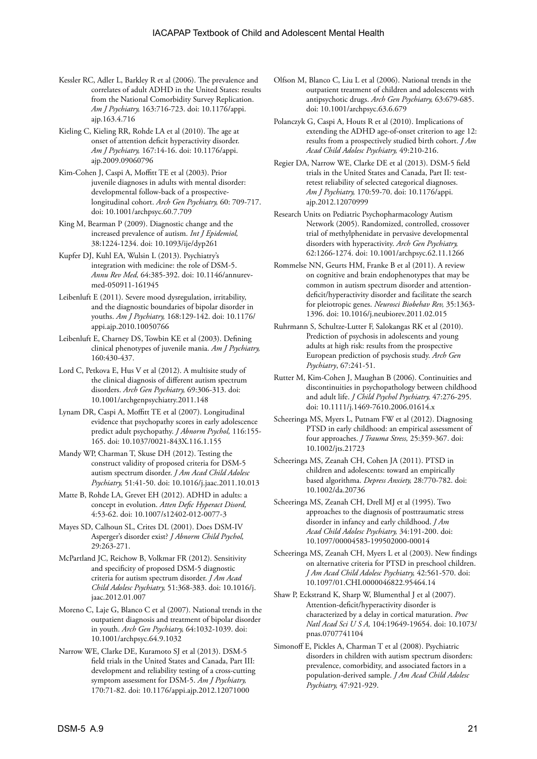- Kessler RC, Adler L, Barkley R et al (2006). The prevalence and correlates of adult ADHD in the United States: results from the National Comorbidity Survey Replication. *Am J Psychiatry,* 163:716-723. doi: 10.1176/appi. ajp.163.4.716
- Kieling C, Kieling RR, Rohde LA et al (2010). The age at onset of attention deficit hyperactivity disorder. *Am J Psychiatry,* 167:14-16. doi: 10.1176/appi. ajp.2009.09060796
- Kim-Cohen J, Caspi A, Moffitt TE et al (2003). Prior juvenile diagnoses in adults with mental disorder: developmental follow-back of a prospectivelongitudinal cohort. *Arch Gen Psychiatry,* 60: 709-717. doi: 10.1001/archpsyc.60.7.709
- King M, Bearman P (2009). Diagnostic change and the increased prevalence of autism. *Int J Epidemiol,* 38:1224-1234. doi: 10.1093/ije/dyp261
- Kupfer DJ, Kuhl EA, Wulsin L (2013). Psychiatry's integration with medicine: the role of DSM-5. *Annu Rev Med,* 64:385-392. doi: 10.1146/annurevmed-050911-161945
- Leibenluft E (2011). Severe mood dysregulation, irritability, and the diagnostic boundaries of bipolar disorder in youths. *Am J Psychiatry,* 168:129-142. doi: 10.1176/ appi.ajp.2010.10050766
- Leibenluft E, Charney DS, Towbin KE et al (2003). Defining clinical phenotypes of juvenile mania. *Am J Psychiatry,*  160:430-437.
- Lord C, Petkova E, Hus V et al (2012). A multisite study of the clinical diagnosis of different autism spectrum disorders. *Arch Gen Psychiatry,* 69:306-313. doi: 10.1001/archgenpsychiatry.2011.148
- Lynam DR, Caspi A, Moffitt TE et al (2007). Longitudinal evidence that psychopathy scores in early adolescence predict adult psychopathy. *J Abnorm Psychol,* 116:155- 165. doi: 10.1037/0021-843X.116.1.155
- Mandy WP, Charman T, Skuse DH (2012). Testing the construct validity of proposed criteria for DSM-5 autism spectrum disorder. *J Am Acad Child Adolesc Psychiatry,* 51:41-50. doi: 10.1016/j.jaac.2011.10.013
- Matte B, Rohde LA, Grevet EH (2012). ADHD in adults: a concept in evolution. *Atten Defic Hyperact Disord,*  4:53-62. doi: 10.1007/s12402-012-0077-3
- Mayes SD, Calhoun SL, Crites DL (2001). Does DSM-IV Asperger's disorder exist? *J Abnorm Child Psychol,* 29:263-271.
- McPartland JC, Reichow B, Volkmar FR (2012). Sensitivity and specificity of proposed DSM-5 diagnostic criteria for autism spectrum disorder. *J Am Acad Child Adolesc Psychiatry,* 51:368-383. doi: 10.1016/j. jaac.2012.01.007
- Moreno C, Laje G, Blanco C et al (2007). National trends in the outpatient diagnosis and treatment of bipolar disorder in youth. *Arch Gen Psychiatry,* 64:1032-1039. doi: 10.1001/archpsyc.64.9.1032
- Narrow WE, Clarke DE, Kuramoto SJ et al (2013). DSM-5 field trials in the United States and Canada, Part III: development and reliability testing of a cross-cutting symptom assessment for DSM-5. *Am J Psychiatry,* 170:71-82. doi: 10.1176/appi.ajp.2012.12071000
- Olfson M, Blanco C, Liu L et al (2006). National trends in the outpatient treatment of children and adolescents with antipsychotic drugs. *Arch Gen Psychiatry,* 63:679-685. doi: 10.1001/archpsyc.63.6.679
- Polanczyk G, Caspi A, Houts R et al (2010). Implications of extending the ADHD age-of-onset criterion to age 12: results from a prospectively studied birth cohort. *J Am Acad Child Adolesc Psychiatry,* 49:210-216.
- Regier DA, Narrow WE, Clarke DE et al (2013). DSM-5 field trials in the United States and Canada, Part II: testretest reliability of selected categorical diagnoses. *Am J Psychiatry,* 170:59-70. doi: 10.1176/appi. ajp.2012.12070999
- Research Units on Pediatric Psychopharmacology Autism Network (2005). Randomized, controlled, crossover trial of methylphenidate in pervasive developmental disorders with hyperactivity. *Arch Gen Psychiatry,* 62:1266-1274. doi: 10.1001/archpsyc.62.11.1266
- Rommelse NN, Geurts HM, Franke B et al (2011). A review on cognitive and brain endophenotypes that may be common in autism spectrum disorder and attentiondeficit/hyperactivity disorder and facilitate the search for pleiotropic genes. *Neurosci Biobehav Rev,* 35:1363- 1396. doi: 10.1016/j.neubiorev.2011.02.015
- [Ruhrmann S](http://www.ncbi.nlm.nih.gov/pubmed?term=Ruhrmann%20S%5BAuthor%5D&cauthor=true&cauthor_uid=20194824), Schultze-Lutter F, [Salokangas RK](http://www.ncbi.nlm.nih.gov/pubmed?term=Salokangas%20RK%5BAuthor%5D&cauthor=true&cauthor_uid=20194824) et al (2010). Prediction of psychosis in adolescents and young adults at high risk: results from the prospective European prediction of psychosis study. *[Arch Gen](http://www.ncbi.nlm.nih.gov/pubmed/?term=Ruhrmann+S+and+psychosis+and+young+adults+at+high+risk)  [Psychiatry](http://www.ncbi.nlm.nih.gov/pubmed/?term=Ruhrmann+S+and+psychosis+and+young+adults+at+high+risk)*, 67:241-51.
- Rutter M, Kim-Cohen J, Maughan B (2006). Continuities and discontinuities in psychopathology between childhood and adult life. *J Child Psychol Psychiatry,* 47:276-295. doi: 10.1111/j.1469-7610.2006.01614.x
- Scheeringa MS, Myers L, Putnam FW et al (2012). Diagnosing PTSD in early childhood: an empirical assessment of four approaches. *J Trauma Stress,* 25:359-367. doi: 10.1002/jts.21723
- Scheeringa MS, Zeanah CH, Cohen JA (2011). PTSD in children and adolescents: toward an empirically based algorithma. *Depress Anxiety,* 28:770-782. doi: 10.1002/da.20736
- Scheeringa MS, Zeanah CH, Drell MJ et al (1995). Two approaches to the diagnosis of posttraumatic stress disorder in infancy and early childhood. *J Am Acad Child Adolesc Psychiatry,* 34:191-200. doi: 10.1097/00004583-199502000-00014
- Scheeringa MS, Zeanah CH, Myers L et al (2003). New findings on alternative criteria for PTSD in preschool children. *J Am Acad Child Adolesc Psychiatry,* 42:561-570. doi: 10.1097/01.CHI.0000046822.95464.14
- Shaw P, Eckstrand K, Sharp W, Blumenthal J et al (2007). Attention-deficit/hyperactivity disorder is characterized by a delay in cortical maturation. *Proc Natl Acad Sci U S A,* 104:19649-19654. doi: 10.1073/ pnas.0707741104
- Simonoff E, Pickles A, Charman T et al (2008). Psychiatric disorders in children with autism spectrum disorders: prevalence, comorbidity, and associated factors in a population-derived sample. *J Am Acad Child Adolesc Psychiatry,* 47:921-929.